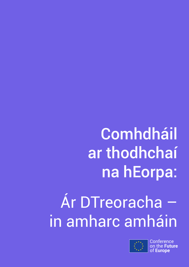## **Comhdháil** ar thodhchaí na hEorpa:

## Ár DTreoracha – in amharc amháin



**Conference** uture of **Europe**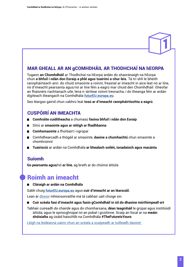# 1

#### MAR GHEALL AR AN gCOMHDHÁIL AR THODHCHAÍ NA hEORPA

Tugann **an Chomhdháil** ar Thodhchaí na hEorpa ardán do shaoránaigh na hEorpa chun **a bhfuil i ndán don Eoraip a phlé agus tuairimí a chur leis**. Tá trí shlí le bheith rannpháirteach ann: do chuid smaointe a roinnt, freastal ar imeacht in aice leat nó ar líne, nó d'imeacht pearsanta agus/nó ar líne féin a eagrú mar chuid den Chomhdháil. Gheofar an fhaisnéis riachtanach uile, lena n-áirítear roinnt treoracha, i do theanga féin ar ardán digiteach ilteangach na Comhdhála **[futurEU.europa.eu](http://futureu.europa.eu/)**.

Seo léargas gairid chun cabhrú leat **tosú ar d'imeacht rannpháirtíochta a eagrú**.

#### CUSPÓIRÍ AN IMEACHTA

- **Comhráite cuiditheacha** a chumasú **faoina bhfuil i ndán don Eoraip**  $\blacksquare$
- Díriú ar **smaointe agus ar réitigh ar fhadhbanna**  $\blacksquare$
- **Comhsmaointe** a fhorbairt i ngrúpaí
- Comhdhearcadh a thógáil ar smaointe, **daoine a chumhachtú** chun smaointe a  $\blacksquare$ chomhroinnt
- **Tuairisciú** ar ardán na Comhdhála **ar bhealach soiléir, ionadaíoch agus macánta**

#### Suíomh

**Go pearsanta agus/**nó **ar líne**, ag brath ar do chúinsí áitiúla

### Roimh an imeacht

#### **Cláraigh ar ardán na Comhdhála**

Gabh chuig **[futurEU.europa.eu](http://futureu.europa.eu)** agus **cuir d'imeacht ar an léarscáil.**

Lean ár [dtreoir](https://futureu.europa.eu/pages/events-steps) mhionsonraithe má tá cabhair uait chuige sin.

**Cuir scéala faoi d'imeacht agus faoin gComhdháil in iúl do dhaoine mórthimpeall ort**  $\blacksquare$ 

Tabhair cuireadh do chairde agus do chomharsana, **déan teagmháil** le grúpaí agus institiúidí áitiúla, agus le spriocghrúpaí nó an pobal i gcoitinne. Scaip an focal ar na **meáin shóisialta** ag úsáid haischlib na Comhdhála **#TheFutureIsYours**

[Léigh na leideanna uainn chun an scéala a scaipeadh ar tuilleadh daoine!](https://futureu.europa.eu/pages/event-organisers)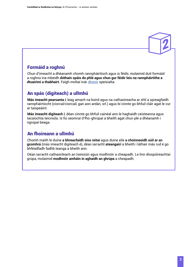

#### Formáid a roghnú

Chun d'imeacht a dhéanamh chomh rannpháirtíoch agus is féidir, molaimid duit formáid a roghnú ina mbeidh **dóthain spáis do phlé agus chun gur féidir leis na rannpháirtithe a dtuairimí a thabhairt.** Faigh moltaí inár [dtreoir](https://futureu.europa.eu/pages/events-steps) speisialta.

#### An spás (digiteach) a ullmhú

**Más imeacht pearsanta í**, leag amach na boird agus na cathaoireacha ar shlí a spreagfaidh rannpháirtíocht (ciorcal/ciorcail, gan aon ardán, srl.) agus bí cinnte go bhfuil cláir agat le cur ar taispeáint.

**Más imeacht digiteach í**, déan cinnte go bhfuil cainéal ann le haghaidh ceisteanna agus tacaíochta teicniúla. Is fiú seomraí d'fho-ghrúpaí a bheith agat chun plé a dhéanamh i ngrúpaí beaga.

#### An fhoireann a ullmhú

.

Chomh maith le duine **a bhreacfaidh síos nótaí** agus duine eile **a choinneoidh súil ar an gcomhrá** (más imeacht digiteach é), déan iarracht **ateangairí** a bheith i láthair más rud é go bhféadfadh fadhb teanga a bheith ann.

Déan iarracht cathaoirleach an tseisiúin agus modhnóir a cheapadh. Le linn díospóireachtaí grúpa, molaimid **modhnóir amháin in aghaidh an ghrúpa** a cheapadh.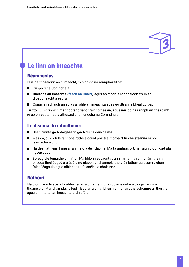## Le linn an imeachta

#### Réamheolas

Nuair a thosaíonn an t-imeacht, mínigh do na rannpháirtithe:

- Cuspóirí na Comhdhála
- Rialacha an imeachta (**féach an Chairt**) agus an modh a roghnaíodh chun an díospóireacht a eagrú
- Conas a rachaidh aiseolas ar phlé an imeachta suas go dtí an leibhéal Eorpach

Iarr **toiliú** i scríbhinn má thógtar grianghraif nó físeáin, agus inis do na rannpháirtithe roimh ré go bhféadtar iad a athúsáid chun críocha na Comhdhála.

#### Leideanna do mhodhnóirí

- Déan cinnte **go bhfaigheann gach duine deis cainte**
- Más gá, cuidigh le rannpháirtithe a gcuid pointí a fhorbairt trí **cheisteanna simplí leantacha** a chur.
- Ná déan athléirmhíniú ar an méid a deir daoine. Má tá amhras ort, fiafraigh díobh cad atá i gceist acu.
- Spreag plé bunaithe ar fhíricí. Má bhíonn easaontas ann, iarr ar na rannpháirtithe na bileoga fíricí éagsúla a úsáid nó glaoch ar shaineolaithe atá i láthair sa seomra chun foinsí éagsúla agus oibiachtúla faisnéise a sholáthar.

#### Ráthóirí

Ná bíodh aon leisce ort cabhair a iarraidh ar rannpháirtithe le nótaí a thógáil agus a thuairisciú. Mar shampla, is féidir leat iarraidh ar bheirt rannpháirtithe achoimre ar thorthaí agus ar mholtaí an imeachta a phrofáil.

3